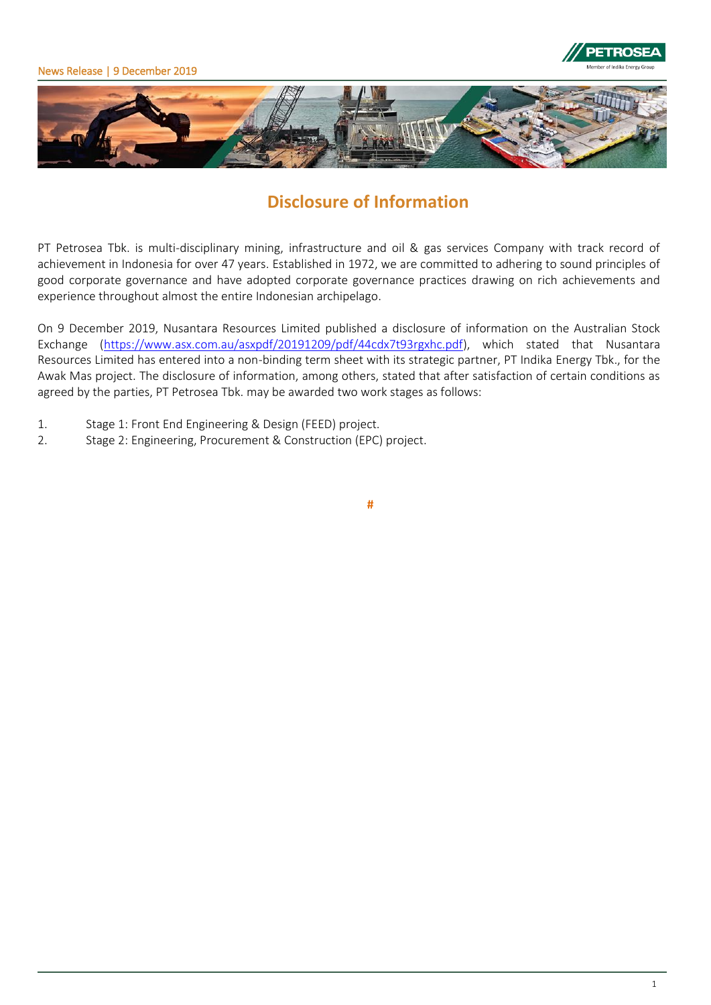





# **Disclosure of Information**

PT Petrosea Tbk. is multi-disciplinary mining, infrastructure and oil & gas services Company with track record of achievement in Indonesia for over 47 years. Established in 1972, we are committed to adhering to sound principles of good corporate governance and have adopted corporate governance practices drawing on rich achievements and experience throughout almost the entire Indonesian archipelago.

On 9 December 2019, Nusantara Resources Limited published a disclosure of information on the Australian Stock Exchange [\(https://www.asx.com.au/asxpdf/20191209/pdf/44cdx7t93rgxhc.pdf\)](https://www.asx.com.au/asxpdf/20191209/pdf/44cdx7t93rgxhc.pdf), which stated that Nusantara Resources Limited has entered into a non-binding term sheet with its strategic partner, PT Indika Energy Tbk., for the Awak Mas project. The disclosure of information, among others, stated that after satisfaction of certain conditions as agreed by the parties, PT Petrosea Tbk. may be awarded two work stages as follows:

- 1. Stage 1: Front End Engineering & Design (FEED) project.
- 2. Stage 2: Engineering, Procurement & Construction (EPC) project.

**#**